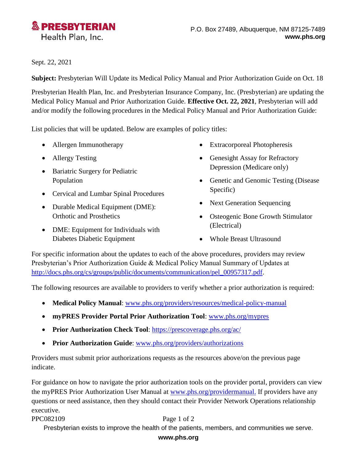

Sept. 22, 2021

**Subject:** Presbyterian Will Update its Medical Policy Manual and Prior Authorization Guide on Oct. 18

Presbyterian Health Plan, Inc. and Presbyterian Insurance Company, Inc. (Presbyterian) are updating the Medical Policy Manual and Prior Authorization Guide. **Effective Oct. 22, 2021**, Presbyterian will add and/or modify the following procedures in the Medical Policy Manual and Prior Authorization Guide:

List policies that will be updated. Below are examples of policy titles:

- Allergen Immunotherapy
- Allergy Testing
- Bariatric Surgery for Pediatric Population
- Cervical and Lumbar Spinal Procedures
- Durable Medical Equipment (DME): Orthotic and Prosthetics
- DME: Equipment for Individuals with Diabetes Diabetic Equipment
- Extracorporeal Photopheresis
- Genesight Assay for Refractory Depression (Medicare only)
- Genetic and Genomic Testing (Disease Specific)
- Next Generation Sequencing
- Osteogenic Bone Growth Stimulator (Electrical)
- Whole Breast Ultrasound

For specific information about the updates to each of the above procedures, providers may review Presbyterian's Prior Authorization Guide & Medical Policy Manual Summary of Updates at [http://docs.phs.org/cs/groups/public/documents/communication/pel\\_00957317.pdf.](http://docs.phs.org/cs/groups/public/documents/communication/pel_00957317.pdf)

The following resources are available to providers to verify whether a prior authorization is required:

- **Medical Policy Manual**: [www.phs.org/providers/resources/medical-policy-manual](http://www.phs.org/providers/resources/medical-policy-manual)
- **myPRES Provider Portal Prior Authorization Tool**: [www.phs.org/mypres](http://www.phs.org/mypres)
- **Prior Authorization Check Tool:** <https://prescoverage.phs.org/ac/>
- **Prior Authorization Guide**: [www.phs.org/providers/authorizations](http://www.phs.org/providers/authorizations)

Providers must submit prior authorizations requests as the resources above/on the previous page indicate.

For guidance on how to navigate the prior authorization tools on the provider portal, providers can view the myPRES Prior Authorization User Manual at [www.phs.org/providermanual.](http://www.phs.org/providermanual) If providers have any questions or need assistance, then they should contact their Provider Network Operations relationship executive.

PPC082109 Page 1 of 2

Presbyterian exists to improve the health of the patients, members, and communities we serve.

## **www.phs.org**